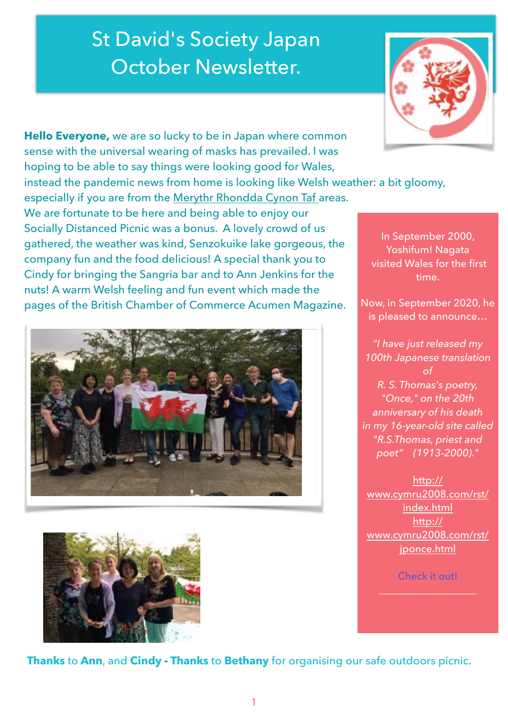## St David's Society Japan October Newsletter.

**Hello Everyone,** we are so lucky to be in Japan where common sense with the universal wearing of masks has prevailed. I was hoping to be able to say things were looking good for Wales,

instead the pandemic news from home is looking like Welsh weather: a bit gloomy,

especially if you are from the Merythr Rhondda [Cynon Taf](https://en.wikipedia.org/wiki/Rhondda_Cynon_Taf) areas. We are fortunate to be here and being able to enjoy our Socially Distanced Picnic was a bonus. A lovely crowd of us gathered, the weather was kind, Senzokuike lake gorgeous, the company fun and the food delicious! A special thank you to Cindy for bringing the Sangria bar and to Ann Jenkins for the nuts! A warm Welsh feeling and fun event which made the pages of the British Chamber of Commerce Acumen Magazine.





**Thanks** to **Ann**, and **Cindy - Thanks** to **Bethany** for organising our safe outdoors picnic.



In September 2000, Yoshifum! Nagata visited Wales for the first time.

Now, in September 2020, he is pleased to announce…

*"I have just released my 100th Japanese translation of R. S. Thomas's poetry, "Once," on the 20th anniversary of his death in my 16-year-old site called "R.S.Thomas, priest and poet" (1913-2000)."* 

[http://](http://www.cymru2008.com/rst/index.html) [www.cymru2008.com/rst/](http://www.cymru2008.com/rst/index.html) [index.html](http://www.cymru2008.com/rst/index.html) [http://](http://www.cymru2008.com/rst/jponce.html) [www.cymru2008.com/rst/](http://www.cymru2008.com/rst/jponce.html) [jponce.html](http://www.cymru2008.com/rst/jponce.html)

Check it out!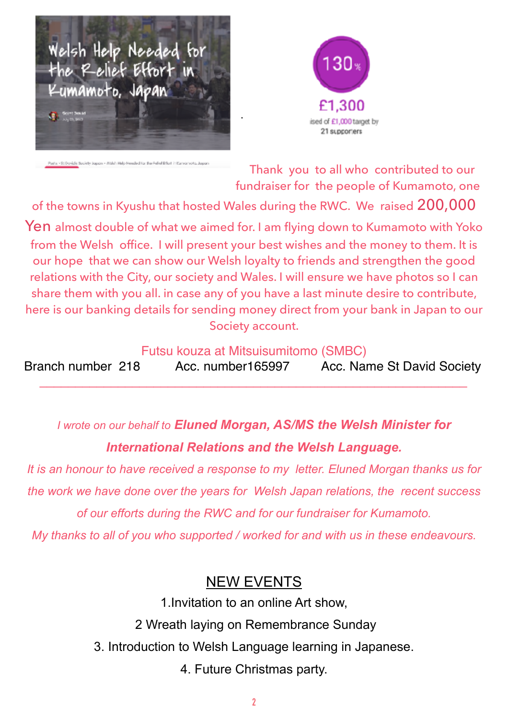



**Jopen - Walsh Help He** eded for the Aefol Bifort in Europeanota, Jo

Thank you to all who contributed to our fundraiser for the people of Kumamoto, one

of the towns in Kyushu that hosted Wales during the RWC. We raised 200,000 Yen almost double of what we aimed for. I am flying down to Kumamoto with Yoko from the Welsh office. I will present your best wishes and the money to them. It is our hope that we can show our Welsh loyalty to friends and strengthen the good relations with the City, our society and Wales. I will ensure we have photos so I can share them with you all. in case any of you have a last minute desire to contribute, here is our banking details for sending money direct from your bank in Japan to our Society account.

.

Futsu kouza at Mitsuisumitomo (SMBC)

Branch number 218 Acc. number165997 Acc. Name St David Society *\_\_\_\_\_\_\_\_\_\_\_\_\_\_\_\_\_\_\_\_\_\_\_\_\_\_\_\_\_\_\_\_\_\_\_\_\_\_\_\_\_\_\_\_\_\_\_\_\_\_\_\_\_\_\_\_\_\_\_\_* 

*I wrote on our behalf to Eluned Morgan, AS/MS the Welsh Minister for International Relations and the Welsh Language.* 

*It is an honour to have received a response to my letter. Eluned Morgan thanks us for the work we have done over the years for Welsh Japan relations, the recent success of our efforts during the RWC and for our fundraiser for Kumamoto.* 

*My thanks to all of you who supported / worked for and with us in these endeavours.* 

## NEW EVENTS

1.Invitation to an online Art show,

2 Wreath laying on Remembrance Sunday

3. Introduction to Welsh Language learning in Japanese.

4. Future Christmas party.